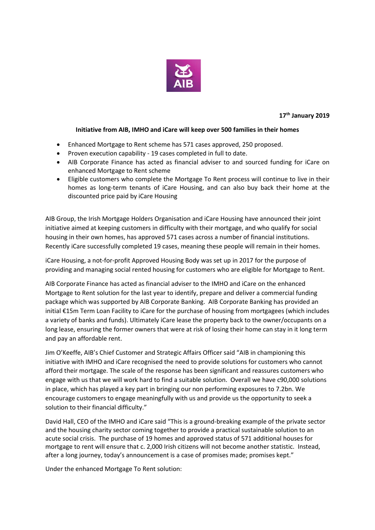

**17 th January 2019**

# **Initiative from AIB, IMHO and iCare will keep over 500 families in their homes**

- Enhanced Mortgage to Rent scheme has 571 cases approved, 250 proposed.
- Proven execution capability 19 cases completed in full to date.
- AIB Corporate Finance has acted as financial adviser to and sourced funding for iCare on enhanced Mortgage to Rent scheme
- Eligible customers who complete the Mortgage To Rent process will continue to live in their homes as long-term tenants of iCare Housing, and can also buy back their home at the discounted price paid by iCare Housing

AIB Group, the Irish Mortgage Holders Organisation and iCare Housing have announced their joint initiative aimed at keeping customers in difficulty with their mortgage, and who qualify for social housing in their own homes, has approved 571 cases across a number of financial institutions. Recently iCare successfully completed 19 cases, meaning these people will remain in their homes.

iCare Housing, a not-for-profit Approved Housing Body was set up in 2017 for the purpose of providing and managing social rented housing for customers who are eligible for Mortgage to Rent.

AIB Corporate Finance has acted as financial adviser to the IMHO and iCare on the enhanced Mortgage to Rent solution for the last year to identify, prepare and deliver a commercial funding package which was supported by AIB Corporate Banking. AIB Corporate Banking has provided an initial €15m Term Loan Facility to iCare for the purchase of housing from mortgagees (which includes a variety of banks and funds). Ultimately iCare lease the property back to the owner/occupants on a long lease, ensuring the former owners that were at risk of losing their home can stay in it long term and pay an affordable rent.

Jim O'Keeffe, AIB's Chief Customer and Strategic Affairs Officer said "AIB in championing this initiative with IMHO and iCare recognised the need to provide solutions for customers who cannot afford their mortgage. The scale of the response has been significant and reassures customers who engage with us that we will work hard to find a suitable solution. Overall we have c90,000 solutions in place, which has played a key part in bringing our non performing exposures to 7.2bn. We encourage customers to engage meaningfully with us and provide us the opportunity to seek a solution to their financial difficulty."

David Hall, CEO of the IMHO and iCare said "This is a ground-breaking example of the private sector and the housing charity sector coming together to provide a practical sustainable solution to an acute social crisis. The purchase of 19 homes and approved status of 571 additional houses for mortgage to rent will ensure that c. 2,000 Irish citizens will not become another statistic. Instead, after a long journey, today's announcement is a case of promises made; promises kept."

Under the enhanced Mortgage To Rent solution: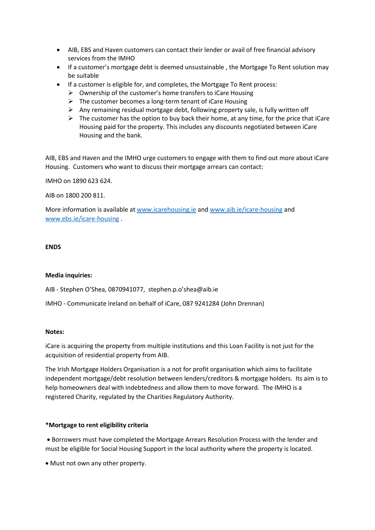- AIB, EBS and Haven customers can contact their lender or avail of free financial advisory services from the IMHO
- If a customer's mortgage debt is deemed unsustainable , the Mortgage To Rent solution may be suitable
- If a customer is eligible for, and completes, the Mortgage To Rent process:
	- $\triangleright$  Ownership of the customer's home transfers to iCare Housing
	- $\triangleright$  The customer becomes a long-term tenant of iCare Housing
	- $\triangleright$  Any remaining residual mortgage debt, following property sale, is fully written off
	- $\triangleright$  The customer has the option to buy back their home, at any time, for the price that iCare Housing paid for the property. This includes any discounts negotiated between iCare Housing and the bank.

AIB, EBS and Haven and the IMHO urge customers to engage with them to find out more about iCare Housing. Customers who want to discuss their mortgage arrears can contact:

IMHO on 1890 623 624.

AIB on 1800 200 811.

More information is available a[t www.icarehousing.ie](http://www.icarehousing.ie/) and [www.aib.ie/icare-housing](http://www.aib.ie/icare-housing) and [www.ebs.ie/icare-housing](http://www.ebs.ie/icare-housing) .

## **ENDS**

### **Media inquiries:**

AIB - Stephen O'Shea, 0870941077, stephen.p.o'shea@aib.ie

IMHO - Communicate Ireland on behalf of iCare, 087 9241284 (John Drennan)

### **Notes:**

iCare is acquiring the property from multiple institutions and this Loan Facility is not just for the acquisition of residential property from AIB.

The Irish Mortgage Holders Organisation is a not for profit organisation which aims to facilitate independent mortgage/debt resolution between lenders/creditors & mortgage holders. Its aim is to help homeowners deal with indebtedness and allow them to move forward. The IMHO is a registered Charity, regulated by the Charities Regulatory Authority.

# **\*Mortgage to rent eligibility criteria**

 Borrowers must have completed the Mortgage Arrears Resolution Process with the lender and must be eligible for Social Housing Support in the local authority where the property is located.

Must not own any other property.